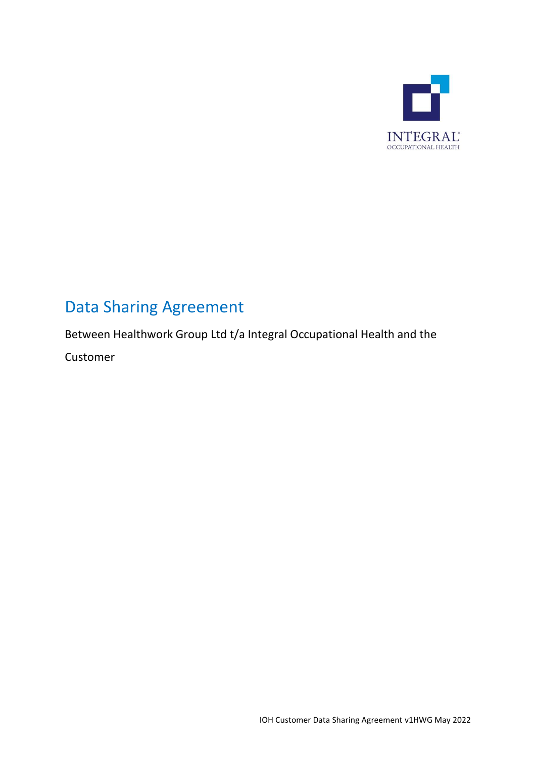

# Data Sharing Agreement

Between Healthwork Group Ltd t/a Integral Occupational Health and the

Customer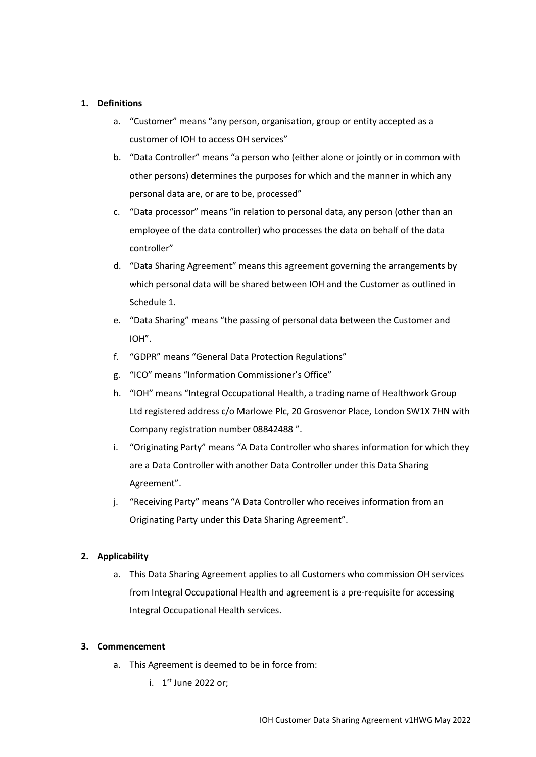## **1. Definitions**

- a. "Customer" means "any person, organisation, group or entity accepted as a customer of IOH to access OH services"
- b. "Data Controller" means "a person who (either alone or jointly or in common with other persons) determines the purposes for which and the manner in which any personal data are, or are to be, processed"
- c. "Data processor" means "in relation to personal data, any person (other than an employee of the data controller) who processes the data on behalf of the data controller"
- d. "Data Sharing Agreement" means this agreement governing the arrangements by which personal data will be shared between IOH and the Customer as outlined in Schedule 1.
- e. "Data Sharing" means "the passing of personal data between the Customer and IOH".
- f. "GDPR" means "General Data Protection Regulations"
- g. "ICO" means "Information Commissioner's Office"
- h. "IOH" means "Integral Occupational Health, a trading name of Healthwork Group Ltd registered address c/o Marlowe Plc, 20 Grosvenor Place, London SW1X 7HN with Company registration number 08842488 ".
- i. "Originating Party" means "A Data Controller who shares information for which they are a Data Controller with another Data Controller under this Data Sharing Agreement".
- j. "Receiving Party" means "A Data Controller who receives information from an Originating Party under this Data Sharing Agreement".

## **2. Applicability**

a. This Data Sharing Agreement applies to all Customers who commission OH services from Integral Occupational Health and agreement is a pre-requisite for accessing Integral Occupational Health services.

#### **3. Commencement**

- a. This Agreement is deemed to be in force from:
	- i. 1<sup>st</sup> June 2022 or;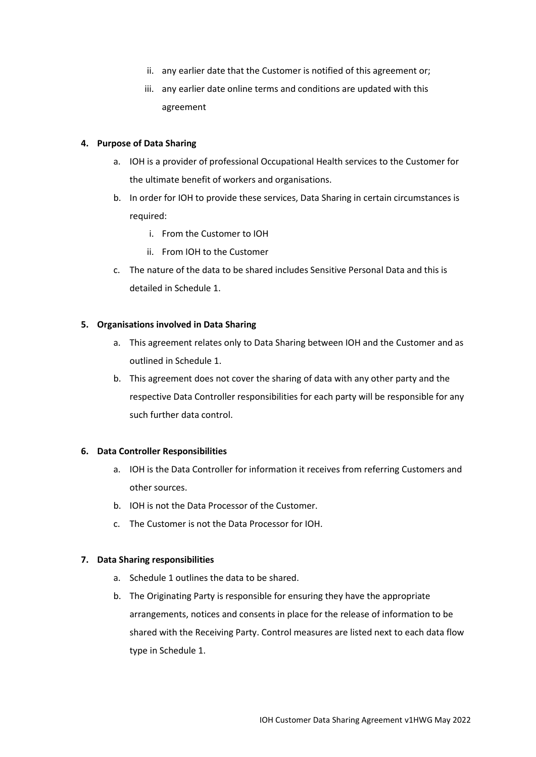- ii. any earlier date that the Customer is notified of this agreement or;
- iii. any earlier date online terms and conditions are updated with this agreement

#### **4. Purpose of Data Sharing**

- a. IOH is a provider of professional Occupational Health services to the Customer for the ultimate benefit of workers and organisations.
- b. In order for IOH to provide these services, Data Sharing in certain circumstances is required:
	- i. From the Customer to IOH
	- ii. From IOH to the Customer
- c. The nature of the data to be shared includes Sensitive Personal Data and this is detailed in Schedule 1.

#### **5. Organisations involved in Data Sharing**

- a. This agreement relates only to Data Sharing between IOH and the Customer and as outlined in Schedule 1.
- b. This agreement does not cover the sharing of data with any other party and the respective Data Controller responsibilities for each party will be responsible for any such further data control.

#### **6. Data Controller Responsibilities**

- a. IOH is the Data Controller for information it receives from referring Customers and other sources.
- b. IOH is not the Data Processor of the Customer.
- c. The Customer is not the Data Processor for IOH.

#### **7. Data Sharing responsibilities**

- a. Schedule 1 outlines the data to be shared.
- b. The Originating Party is responsible for ensuring they have the appropriate arrangements, notices and consents in place for the release of information to be shared with the Receiving Party. Control measures are listed next to each data flow type in Schedule 1.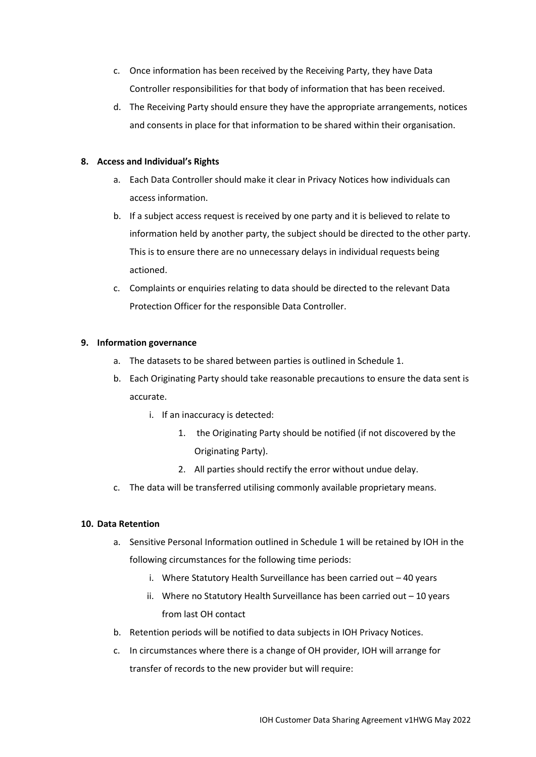- c. Once information has been received by the Receiving Party, they have Data Controller responsibilities for that body of information that has been received.
- d. The Receiving Party should ensure they have the appropriate arrangements, notices and consents in place for that information to be shared within their organisation.

# **8. Access and Individual's Rights**

- a. Each Data Controller should make it clear in Privacy Notices how individuals can access information.
- b. If a subject access request is received by one party and it is believed to relate to information held by another party, the subject should be directed to the other party. This is to ensure there are no unnecessary delays in individual requests being actioned.
- c. Complaints or enquiries relating to data should be directed to the relevant Data Protection Officer for the responsible Data Controller.

## **9. Information governance**

- a. The datasets to be shared between parties is outlined in Schedule 1.
- b. Each Originating Party should take reasonable precautions to ensure the data sent is accurate.
	- i. If an inaccuracy is detected:
		- 1. the Originating Party should be notified (if not discovered by the Originating Party).
		- 2. All parties should rectify the error without undue delay.
- c. The data will be transferred utilising commonly available proprietary means.

## **10. Data Retention**

- a. Sensitive Personal Information outlined in Schedule 1 will be retained by IOH in the following circumstances for the following time periods:
	- i. Where Statutory Health Surveillance has been carried out 40 years
	- ii. Where no Statutory Health Surveillance has been carried out 10 years from last OH contact
- b. Retention periods will be notified to data subjects in IOH Privacy Notices.
- c. In circumstances where there is a change of OH provider, IOH will arrange for transfer of records to the new provider but will require: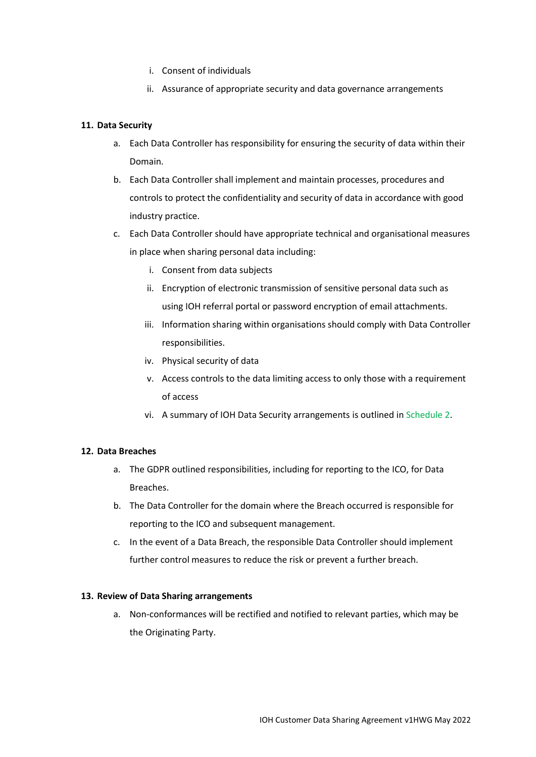- i. Consent of individuals
- ii. Assurance of appropriate security and data governance arrangements

# **11. Data Security**

- a. Each Data Controller has responsibility for ensuring the security of data within their Domain.
- b. Each Data Controller shall implement and maintain processes, procedures and controls to protect the confidentiality and security of data in accordance with good industry practice.
- c. Each Data Controller should have appropriate technical and organisational measures in place when sharing personal data including:
	- i. Consent from data subjects
	- ii. Encryption of electronic transmission of sensitive personal data such as using IOH referral portal or password encryption of email attachments.
	- iii. Information sharing within organisations should comply with Data Controller responsibilities.
	- iv. Physical security of data
	- v. Access controls to the data limiting access to only those with a requirement of access
	- vi. A summary of IOH Data Security arrangements is outlined in Schedule 2.

## **12. Data Breaches**

- a. The GDPR outlined responsibilities, including for reporting to the ICO, for Data Breaches.
- b. The Data Controller for the domain where the Breach occurred is responsible for reporting to the ICO and subsequent management.
- c. In the event of a Data Breach, the responsible Data Controller should implement further control measures to reduce the risk or prevent a further breach.

## **13. Review of Data Sharing arrangements**

a. Non-conformances will be rectified and notified to relevant parties, which may be the Originating Party.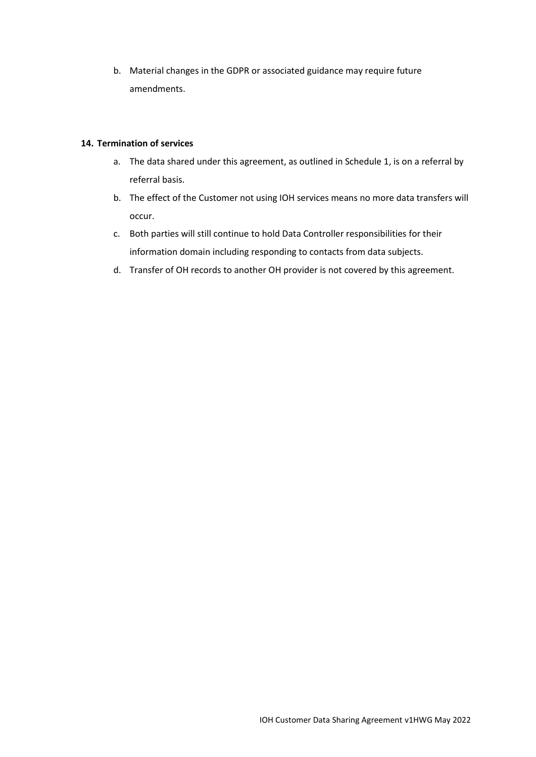b. Material changes in the GDPR or associated guidance may require future amendments.

# **14. Termination of services**

- a. The data shared under this agreement, as outlined in Schedule 1, is on a referral by referral basis.
- b. The effect of the Customer not using IOH services means no more data transfers will occur.
- c. Both parties will still continue to hold Data Controller responsibilities for their information domain including responding to contacts from data subjects.
- d. Transfer of OH records to another OH provider is not covered by this agreement.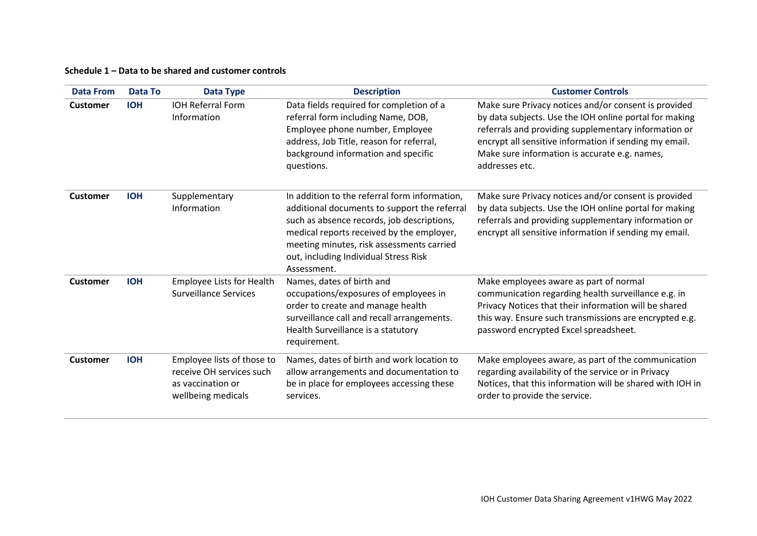# **Schedule 1 – Data to be shared and customer controls**

| <b>Data From</b> | <b>Data To</b> | <b>Data Type</b>                                                                                  | <b>Description</b>                                                                                                                                                                                                                                                                            | <b>Customer Controls</b>                                                                                                                                                                                                                                                                            |
|------------------|----------------|---------------------------------------------------------------------------------------------------|-----------------------------------------------------------------------------------------------------------------------------------------------------------------------------------------------------------------------------------------------------------------------------------------------|-----------------------------------------------------------------------------------------------------------------------------------------------------------------------------------------------------------------------------------------------------------------------------------------------------|
| <b>Customer</b>  | <b>IOH</b>     | <b>IOH Referral Form</b><br>Information                                                           | Data fields required for completion of a<br>referral form including Name, DOB,<br>Employee phone number, Employee<br>address, Job Title, reason for referral,<br>background information and specific<br>questions.                                                                            | Make sure Privacy notices and/or consent is provided<br>by data subjects. Use the IOH online portal for making<br>referrals and providing supplementary information or<br>encrypt all sensitive information if sending my email.<br>Make sure information is accurate e.g. names,<br>addresses etc. |
| <b>Customer</b>  | <b>IOH</b>     | Supplementary<br>Information                                                                      | In addition to the referral form information,<br>additional documents to support the referral<br>such as absence records, job descriptions,<br>medical reports received by the employer,<br>meeting minutes, risk assessments carried<br>out, including Individual Stress Risk<br>Assessment. | Make sure Privacy notices and/or consent is provided<br>by data subjects. Use the IOH online portal for making<br>referrals and providing supplementary information or<br>encrypt all sensitive information if sending my email.                                                                    |
| <b>Customer</b>  | <b>IOH</b>     | Employee Lists for Health<br><b>Surveillance Services</b>                                         | Names, dates of birth and<br>occupations/exposures of employees in<br>order to create and manage health<br>surveillance call and recall arrangements.<br>Health Surveillance is a statutory<br>requirement.                                                                                   | Make employees aware as part of normal<br>communication regarding health surveillance e.g. in<br>Privacy Notices that their information will be shared<br>this way. Ensure such transmissions are encrypted e.g.<br>password encrypted Excel spreadsheet.                                           |
| <b>Customer</b>  | <b>IOH</b>     | Employee lists of those to<br>receive OH services such<br>as vaccination or<br>wellbeing medicals | Names, dates of birth and work location to<br>allow arrangements and documentation to<br>be in place for employees accessing these<br>services.                                                                                                                                               | Make employees aware, as part of the communication<br>regarding availability of the service or in Privacy<br>Notices, that this information will be shared with IOH in<br>order to provide the service.                                                                                             |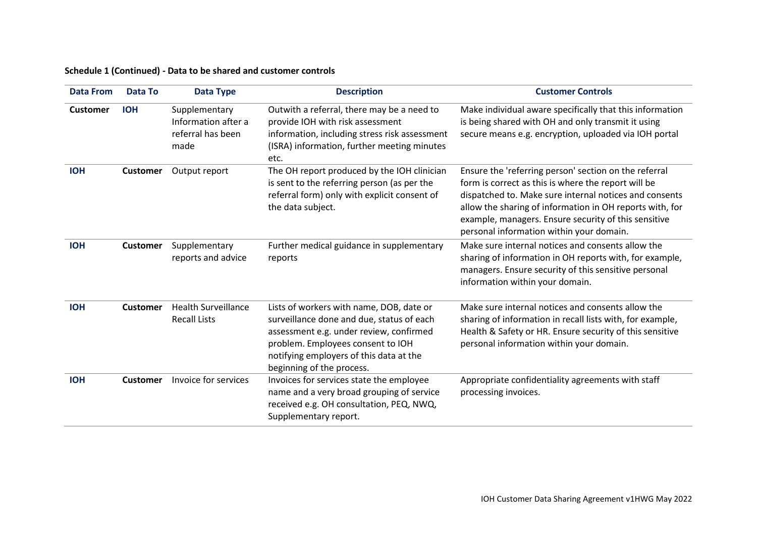# **Schedule 1 (Continued) - Data to be shared and customer controls**

| <b>Data From</b> | <b>Data To</b>  | <b>Data Type</b>                                                  | <b>Description</b>                                                                                                                                                                                                                            | <b>Customer Controls</b>                                                                                                                                                                                                                                                                                                               |
|------------------|-----------------|-------------------------------------------------------------------|-----------------------------------------------------------------------------------------------------------------------------------------------------------------------------------------------------------------------------------------------|----------------------------------------------------------------------------------------------------------------------------------------------------------------------------------------------------------------------------------------------------------------------------------------------------------------------------------------|
| <b>Customer</b>  | <b>IOH</b>      | Supplementary<br>Information after a<br>referral has been<br>made | Outwith a referral, there may be a need to<br>provide IOH with risk assessment<br>information, including stress risk assessment<br>(ISRA) information, further meeting minutes<br>etc.                                                        | Make individual aware specifically that this information<br>is being shared with OH and only transmit it using<br>secure means e.g. encryption, uploaded via IOH portal                                                                                                                                                                |
| <b>IOH</b>       | <b>Customer</b> | Output report                                                     | The OH report produced by the IOH clinician<br>is sent to the referring person (as per the<br>referral form) only with explicit consent of<br>the data subject.                                                                               | Ensure the 'referring person' section on the referral<br>form is correct as this is where the report will be<br>dispatched to. Make sure internal notices and consents<br>allow the sharing of information in OH reports with, for<br>example, managers. Ensure security of this sensitive<br>personal information within your domain. |
| <b>IOH</b>       | <b>Customer</b> | Supplementary<br>reports and advice                               | Further medical guidance in supplementary<br>reports                                                                                                                                                                                          | Make sure internal notices and consents allow the<br>sharing of information in OH reports with, for example,<br>managers. Ensure security of this sensitive personal<br>information within your domain.                                                                                                                                |
| <b>IOH</b>       | <b>Customer</b> | <b>Health Surveillance</b><br><b>Recall Lists</b>                 | Lists of workers with name, DOB, date or<br>surveillance done and due, status of each<br>assessment e.g. under review, confirmed<br>problem. Employees consent to IOH<br>notifying employers of this data at the<br>beginning of the process. | Make sure internal notices and consents allow the<br>sharing of information in recall lists with, for example,<br>Health & Safety or HR. Ensure security of this sensitive<br>personal information within your domain.                                                                                                                 |
| <b>IOH</b>       | <b>Customer</b> | Invoice for services                                              | Invoices for services state the employee<br>name and a very broad grouping of service<br>received e.g. OH consultation, PEQ, NWQ,<br>Supplementary report.                                                                                    | Appropriate confidentiality agreements with staff<br>processing invoices.                                                                                                                                                                                                                                                              |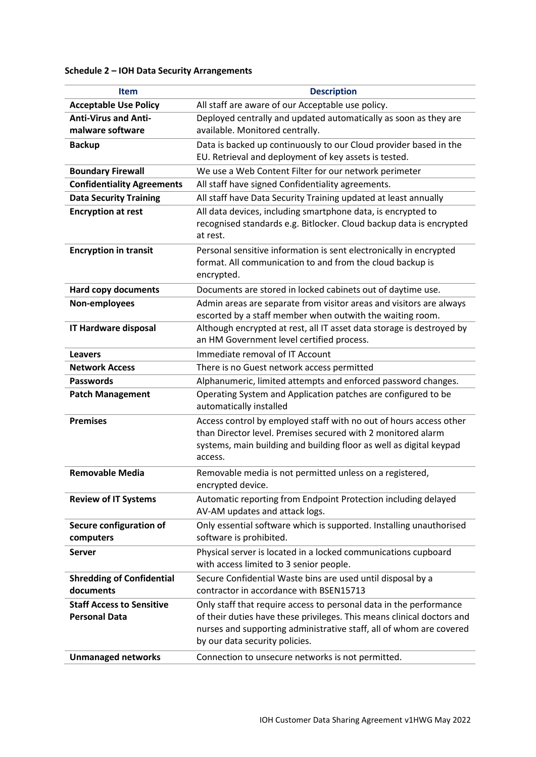# **Schedule 2 – IOH Data Security Arrangements**

| <b>Item</b>                                              | <b>Description</b>                                                                                                                                                                                                                                    |  |
|----------------------------------------------------------|-------------------------------------------------------------------------------------------------------------------------------------------------------------------------------------------------------------------------------------------------------|--|
| <b>Acceptable Use Policy</b>                             | All staff are aware of our Acceptable use policy.                                                                                                                                                                                                     |  |
| <b>Anti-Virus and Anti-</b>                              | Deployed centrally and updated automatically as soon as they are                                                                                                                                                                                      |  |
| malware software                                         | available. Monitored centrally.                                                                                                                                                                                                                       |  |
| <b>Backup</b>                                            | Data is backed up continuously to our Cloud provider based in the<br>EU. Retrieval and deployment of key assets is tested.                                                                                                                            |  |
| <b>Boundary Firewall</b>                                 | We use a Web Content Filter for our network perimeter                                                                                                                                                                                                 |  |
| <b>Confidentiality Agreements</b>                        | All staff have signed Confidentiality agreements.                                                                                                                                                                                                     |  |
| <b>Data Security Training</b>                            | All staff have Data Security Training updated at least annually                                                                                                                                                                                       |  |
| <b>Encryption at rest</b>                                | All data devices, including smartphone data, is encrypted to                                                                                                                                                                                          |  |
|                                                          | recognised standards e.g. Bitlocker. Cloud backup data is encrypted<br>at rest.                                                                                                                                                                       |  |
| <b>Encryption in transit</b>                             | Personal sensitive information is sent electronically in encrypted<br>format. All communication to and from the cloud backup is<br>encrypted.                                                                                                         |  |
| <b>Hard copy documents</b>                               | Documents are stored in locked cabinets out of daytime use.                                                                                                                                                                                           |  |
| Non-employees                                            | Admin areas are separate from visitor areas and visitors are always<br>escorted by a staff member when outwith the waiting room.                                                                                                                      |  |
| IT Hardware disposal                                     | Although encrypted at rest, all IT asset data storage is destroyed by<br>an HM Government level certified process.                                                                                                                                    |  |
| <b>Leavers</b>                                           | Immediate removal of IT Account                                                                                                                                                                                                                       |  |
| <b>Network Access</b>                                    | There is no Guest network access permitted                                                                                                                                                                                                            |  |
| <b>Passwords</b>                                         | Alphanumeric, limited attempts and enforced password changes.                                                                                                                                                                                         |  |
| <b>Patch Management</b>                                  | Operating System and Application patches are configured to be<br>automatically installed                                                                                                                                                              |  |
| <b>Premises</b>                                          | Access control by employed staff with no out of hours access other<br>than Director level. Premises secured with 2 monitored alarm<br>systems, main building and building floor as well as digital keypad<br>access.                                  |  |
| <b>Removable Media</b>                                   | Removable media is not permitted unless on a registered,<br>encrypted device.                                                                                                                                                                         |  |
| <b>Review of IT Systems</b>                              | Automatic reporting from Endpoint Protection including delayed<br>AV-AM updates and attack logs.                                                                                                                                                      |  |
| Secure configuration of<br>computers                     | Only essential software which is supported. Installing unauthorised<br>software is prohibited.                                                                                                                                                        |  |
| <b>Server</b>                                            | Physical server is located in a locked communications cupboard<br>with access limited to 3 senior people.                                                                                                                                             |  |
| <b>Shredding of Confidential</b><br>documents            | Secure Confidential Waste bins are used until disposal by a<br>contractor in accordance with BSEN15713                                                                                                                                                |  |
| <b>Staff Access to Sensitive</b><br><b>Personal Data</b> | Only staff that require access to personal data in the performance<br>of their duties have these privileges. This means clinical doctors and<br>nurses and supporting administrative staff, all of whom are covered<br>by our data security policies. |  |
| <b>Unmanaged networks</b>                                | Connection to unsecure networks is not permitted.                                                                                                                                                                                                     |  |